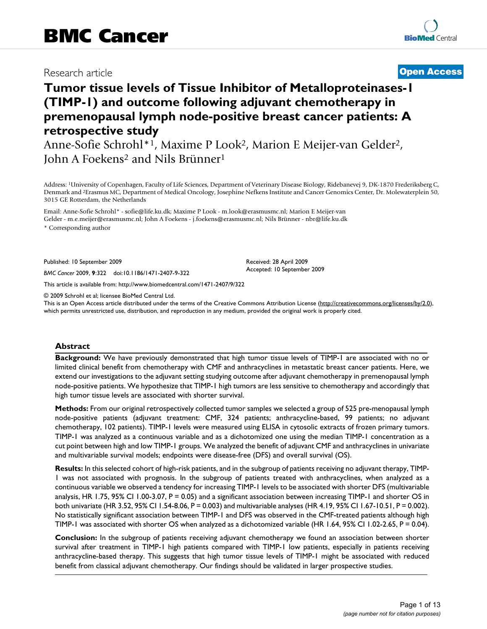# Research article **[Open Access](http://www.biomedcentral.com/info/about/charter/)**

# **Tumor tissue levels of Tissue Inhibitor of Metalloproteinases-1 (TIMP-1) and outcome following adjuvant chemotherapy in premenopausal lymph node-positive breast cancer patients: A retrospective study**

Anne-Sofie Schrohl\*1, Maxime P Look2, Marion E Meijer-van Gelder2, John A Foekens<sup>2</sup> and Nils Brünner<sup>1</sup>

Address: 1University of Copenhagen, Faculty of Life Sciences, Department of Veterinary Disease Biology, Ridebanevej 9, DK-1870 Frederiksberg C, Denmark and 2Erasmus MC, Department of Medical Oncology, Josephine Nefkens Institute and Cancer Genomics Center, Dr. Molewaterplein 50, 3015 GE Rotterdam, the Netherlands

Email: Anne-Sofie Schrohl\* - sofie@life.ku.dk; Maxime P Look - m.look@erasmusmc.nl; Marion E Meijer-van Gelder - m.e.meijer@erasmusmc.nl; John A Foekens - j.foekens@erasmusmc.nl; Nils Brünner - nbr@life.ku.dk \* Corresponding author

Published: 10 September 2009

*BMC Cancer* 2009, **9**:322 doi:10.1186/1471-2407-9-322

[This article is available from: http://www.biomedcentral.com/1471-2407/9/322](http://www.biomedcentral.com/1471-2407/9/322)

© 2009 Schrohl et al; licensee BioMed Central Ltd.

This is an Open Access article distributed under the terms of the Creative Commons Attribution License [\(http://creativecommons.org/licenses/by/2.0\)](http://creativecommons.org/licenses/by/2.0), which permits unrestricted use, distribution, and reproduction in any medium, provided the original work is properly cited.

Received: 28 April 2009 Accepted: 10 September 2009

# **Abstract**

**Background:** We have previously demonstrated that high tumor tissue levels of TIMP-1 are associated with no or limited clinical benefit from chemotherapy with CMF and anthracyclines in metastatic breast cancer patients. Here, we extend our investigations to the adjuvant setting studying outcome after adjuvant chemotherapy in premenopausal lymph node-positive patients. We hypothesize that TIMP-1 high tumors are less sensitive to chemotherapy and accordingly that high tumor tissue levels are associated with shorter survival.

**Methods:** From our original retrospectively collected tumor samples we selected a group of 525 pre-menopausal lymph node-positive patients (adjuvant treatment: CMF, 324 patients; anthracycline-based, 99 patients; no adjuvant chemotherapy, 102 patients). TIMP-1 levels were measured using ELISA in cytosolic extracts of frozen primary tumors. TIMP-1 was analyzed as a continuous variable and as a dichotomized one using the median TIMP-1 concentration as a cut point between high and low TIMP-1 groups. We analyzed the benefit of adjuvant CMF and anthracyclines in univariate and multivariable survival models; endpoints were disease-free (DFS) and overall survival (OS).

**Results:** In this selected cohort of high-risk patients, and in the subgroup of patients receiving no adjuvant therapy, TIMP-1 was not associated with prognosis. In the subgroup of patients treated with anthracyclines, when analyzed as a continuous variable we observed a tendency for increasing TIMP-1 levels to be associated with shorter DFS (multivariable analysis, HR 1.75, 95% CI 1.00-3.07, P = 0.05) and a significant association between increasing TIMP-1 and shorter OS in both univariate (HR 3.52, 95% CI 1.54-8.06, P = 0.003) and multivariable analyses (HR 4.19, 95% CI 1.67-10.51, P = 0.002). No statistically significant association between TIMP-1 and DFS was observed in the CMF-treated patients although high TIMP-1 was associated with shorter OS when analyzed as a dichotomized variable (HR 1.64, 95% CI 1.02-2.65, P = 0.04).

**Conclusion:** In the subgroup of patients receiving adjuvant chemotherapy we found an association between shorter survival after treatment in TIMP-1 high patients compared with TIMP-1 low patients, especially in patients receiving anthracycline-based therapy. This suggests that high tumor tissue levels of TIMP-1 might be associated with reduced benefit from classical adjuvant chemotherapy. Our findings should be validated in larger prospective studies.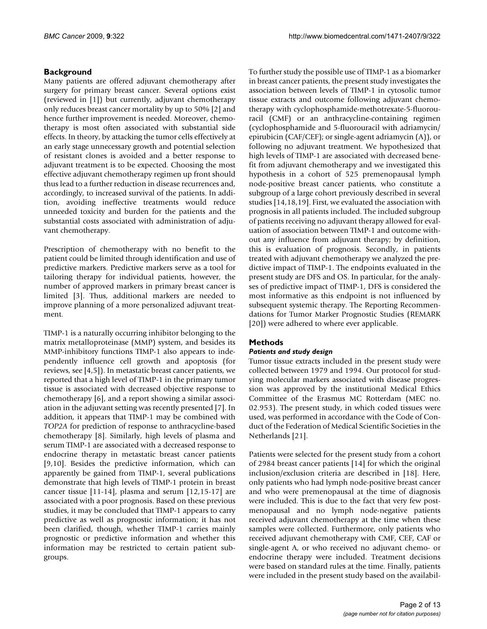# **Background**

Many patients are offered adjuvant chemotherapy after surgery for primary breast cancer. Several options exist (reviewed in [1]) but currently, adjuvant chemotherapy only reduces breast cancer mortality by up to 50% [2] and hence further improvement is needed. Moreover, chemotherapy is most often associated with substantial side effects. In theory, by attacking the tumor cells effectively at an early stage unnecessary growth and potential selection of resistant clones is avoided and a better response to adjuvant treatment is to be expected. Choosing the most effective adjuvant chemotherapy regimen up front should thus lead to a further reduction in disease recurrences and, accordingly, to increased survival of the patients. In addition, avoiding ineffective treatments would reduce unneeded toxicity and burden for the patients and the substantial costs associated with administration of adjuvant chemotherapy.

Prescription of chemotherapy with no benefit to the patient could be limited through identification and use of predictive markers. Predictive markers serve as a tool for tailoring therapy for individual patients, however, the number of approved markers in primary breast cancer is limited [3]. Thus, additional markers are needed to improve planning of a more personalized adjuvant treatment.

TIMP-1 is a naturally occurring inhibitor belonging to the matrix metalloproteinase (MMP) system, and besides its MMP-inhibitory functions TIMP-1 also appears to independently influence cell growth and apoptosis (for reviews, see [4,5]). In metastatic breast cancer patients, we reported that a high level of TIMP-1 in the primary tumor tissue is associated with decreased objective response to chemotherapy [6], and a report showing a similar association in the adjuvant setting was recently presented [7]. In addition, it appears that TIMP-1 may be combined with *TOP2A* for prediction of response to anthracycline-based chemotherapy [8]. Similarly, high levels of plasma and serum TIMP-1 are associated with a decreased response to endocrine therapy in metastatic breast cancer patients [9,10]. Besides the predictive information, which can apparently be gained from TIMP-1, several publications demonstrate that high levels of TIMP-1 protein in breast cancer tissue [11-14], plasma and serum [12,15-17] are associated with a poor prognosis. Based on these previous studies, it may be concluded that TIMP-1 appears to carry predictive as well as prognostic information; it has not been clarified, though, whether TIMP-1 carries mainly prognostic or predictive information and whether this information may be restricted to certain patient subgroups.

To further study the possible use of TIMP-1 as a biomarker in breast cancer patients, the present study investigates the association between levels of TIMP-1 in cytosolic tumor tissue extracts and outcome following adjuvant chemotherapy with cyclophosphamide-methotrexate-5-fluorouracil (CMF) or an anthracycline-containing regimen (cyclophosphamide and 5-fluorouracil with adriamycin/ epirubicin (CAF/CEF); or single-agent adriamycin (A)), or following no adjuvant treatment. We hypothesized that high levels of TIMP-1 are associated with decreased benefit from adjuvant chemotherapy and we investigated this hypothesis in a cohort of 525 premenopausal lymph node-positive breast cancer patients, who constitute a subgroup of a large cohort previously described in several studies [14,18,19]. First, we evaluated the association with prognosis in all patients included. The included subgroup of patients receiving no adjuvant therapy allowed for evaluation of association between TIMP-1 and outcome without any influence from adjuvant therapy; by definition, this is evaluation of prognosis. Secondly, in patients treated with adjuvant chemotherapy we analyzed the predictive impact of TIMP-1. The endpoints evaluated in the present study are DFS and OS. In particular, for the analyses of predictive impact of TIMP-1, DFS is considered the most informative as this endpoint is not influenced by subsequent systemic therapy. The Reporting Recommendations for Tumor Marker Prognostic Studies (REMARK [20]) were adhered to where ever applicable.

# **Methods**

# *Patients and study design*

Tumor tissue extracts included in the present study were collected between 1979 and 1994. Our protocol for studying molecular markers associated with disease progression was approved by the institutional Medical Ethics Committee of the Erasmus MC Rotterdam (MEC no. 02.953). The present study, in which coded tissues were used, was performed in accordance with the Code of Conduct of the Federation of Medical Scientific Societies in the Netherlands [21].

Patients were selected for the present study from a cohort of 2984 breast cancer patients [14] for which the original inclusion/exclusion criteria are described in [18]. Here, only patients who had lymph node-positive breast cancer and who were premenopausal at the time of diagnosis were included. This is due to the fact that very few postmenopausal and no lymph node-negative patients received adjuvant chemotherapy at the time when these samples were collected. Furthermore, only patients who received adjuvant chemotherapy with CMF, CEF, CAF or single-agent A, or who received no adjuvant chemo- or endocrine therapy were included. Treatment decisions were based on standard rules at the time. Finally, patients were included in the present study based on the availabil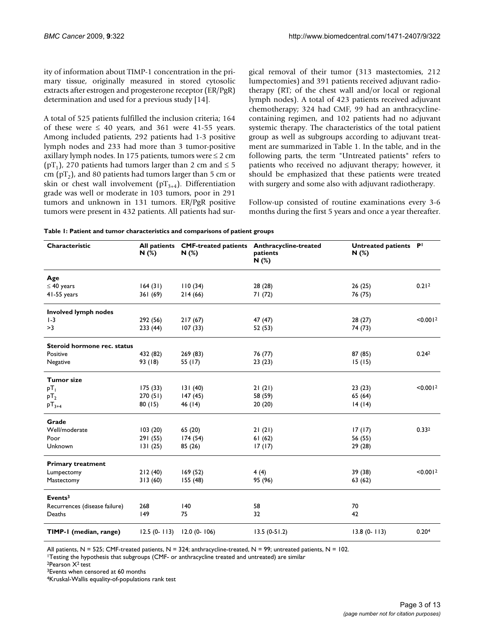ity of information about TIMP-1 concentration in the primary tissue, originally measured in stored cytosolic extracts after estrogen and progesterone receptor (ER/PgR) determination and used for a previous study [14].

A total of 525 patients fulfilled the inclusion criteria; 164 of these were  $\leq 40$  years, and 361 were 41-55 years. Among included patients, 292 patients had 1-3 positive lymph nodes and 233 had more than 3 tumor-positive axillary lymph nodes. In 175 patients, tumors were  $\leq 2$  cm (pT<sub>1</sub>), 270 patients had tumors larger than 2 cm and  $\leq$  5 cm ( $pT_2$ ), and 80 patients had tumors larger than 5 cm or skin or chest wall involvement ( $pT_{3+4}$ ). Differentiation grade was well or moderate in 103 tumors, poor in 291 tumors and unknown in 131 tumors. ER/PgR positive tumors were present in 432 patients. All patients had surgical removal of their tumor (313 mastectomies, 212 lumpectomies) and 391 patients received adjuvant radiotherapy (RT; of the chest wall and/or local or regional lymph nodes). A total of 423 patients received adjuvant chemotherapy; 324 had CMF, 99 had an anthracyclinecontaining regimen, and 102 patients had no adjuvant systemic therapy. The characteristics of the total patient group as well as subgroups according to adjuvant treatment are summarized in Table 1. In the table, and in the following parts, the term "Untreated patients" refers to patients who received no adjuvant therapy; however, it should be emphasized that these patients were treated with surgery and some also with adjuvant radiotherapy.

Follow-up consisted of routine examinations every 3-6 months during the first 5 years and once a year thereafter.

| Characteristic                | <b>All patients</b><br>N(%) | N(%)            | <b>CMF-treated patients Anthracycline-treated</b><br>patients<br>N(%) | Untreated patients PI<br>N(%) |                      |
|-------------------------------|-----------------------------|-----------------|-----------------------------------------------------------------------|-------------------------------|----------------------|
| Age                           |                             |                 |                                                                       |                               |                      |
| $\leq 40$ years               | 164(31)                     | 110(34)         | 28 (28)                                                               | 26(25)                        | 0.21 <sup>2</sup>    |
| 41-55 years                   | 361(69)                     | 214(66)         | 71(72)                                                                | 76 (75)                       |                      |
| <b>Involved lymph nodes</b>   |                             |                 |                                                                       |                               |                      |
| $1-3$                         | 292 (56)                    | 217(67)         | 47(47)                                                                | 28(27)                        | < 0.001 <sup>2</sup> |
| >3                            | 233(44)                     | 107(33)         | 52 (53)                                                               | 74 (73)                       |                      |
| Steroid hormone rec. status   |                             |                 |                                                                       |                               |                      |
| Positive                      | 432 (82)                    | 269(83)         | 76 (77)                                                               | 87 (85)                       | 0.24 <sup>2</sup>    |
| Negative                      | 93 (18)                     | 55 (17)         | 23(23)                                                                | 15(15)                        |                      |
| <b>Tumor size</b>             |                             |                 |                                                                       |                               |                      |
| рT <sub>I</sub>               | 175(33)                     | 131(40)         | 21(21)                                                                | 23(23)                        | < 0.001 <sup>2</sup> |
| $pT_2$                        | 270(51)                     | 147(45)         | 58 (59)                                                               | 65 (64)                       |                      |
| $pT_{3+4}$                    | 80(15)                      | 46 (14)         | 20(20)                                                                | 14(14)                        |                      |
| Grade                         |                             |                 |                                                                       |                               |                      |
| Well/moderate                 | 103(20)                     | 65 (20)         | 21(21)                                                                | 17(17)                        | 0.332                |
| Poor                          | 291 (55)                    | 174(54)         | 61(62)                                                                | 56 (55)                       |                      |
| Unknown                       | 131(25)                     | 85 (26)         | 17(17)                                                                | 29 (28)                       |                      |
| <b>Primary treatment</b>      |                             |                 |                                                                       |                               |                      |
| Lumpectomy                    | 212(40)                     | 169(52)         | 4(4)                                                                  | 39 (38)                       | < 0.001 <sup>2</sup> |
| Mastectomy                    | 313(60)                     | 155(48)         | 95 (96)                                                               | 63(62)                        |                      |
| Events <sup>3</sup>           |                             |                 |                                                                       |                               |                      |
| Recurrences (disease failure) | 268                         | 140             | 58                                                                    | 70                            |                      |
| Deaths                        | 149                         | 75              | 32                                                                    | 42                            |                      |
| TIMP-1 (median, range)        | $12.5(0-113)$               | $12.0(0 - 106)$ | $13.5(0-51.2)$                                                        | $13.8(0 - 113)$               | 0.20 <sup>4</sup>    |

All patients,  $N = 525$ ; CMF-treated patients,  $N = 324$ ; anthracycline-treated,  $N = 99$ ; untreated patients,  $N = 102$ .

1Testing the hypothesis that subgroups (CMF- or anthracycline treated and untreated) are similar

2Pearson X2 test

<sup>3</sup>Events when censored at 60 months

4Kruskal-Wallis equality-of-populations rank test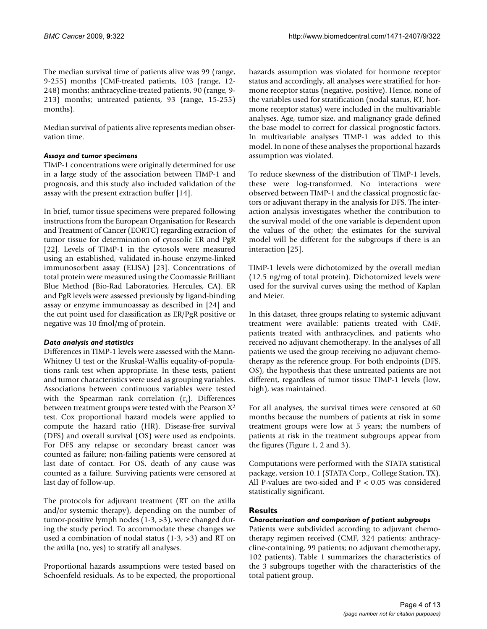The median survival time of patients alive was 99 (range, 9-255) months (CMF-treated patients, 103 (range, 12- 248) months; anthracycline-treated patients, 90 (range, 9- 213) months; untreated patients, 93 (range, 15-255) months).

Median survival of patients alive represents median observation time.

# *Assays and tumor specimens*

TIMP-1 concentrations were originally determined for use in a large study of the association between TIMP-1 and prognosis, and this study also included validation of the assay with the present extraction buffer [14].

In brief, tumor tissue specimens were prepared following instructions from the European Organisation for Research and Treatment of Cancer (EORTC) regarding extraction of tumor tissue for determination of cytosolic ER and PgR [22]. Levels of TIMP-1 in the cytosols were measured using an established, validated in-house enzyme-linked immunosorbent assay (ELISA) [23]. Concentrations of total protein were measured using the Coomassie Brilliant Blue Method (Bio-Rad Laboratories, Hercules, CA). ER and PgR levels were assessed previously by ligand-binding assay or enzyme immunoassay as described in [24] and the cut point used for classification as ER/PgR positive or negative was 10 fmol/mg of protein.

# *Data analysis and statistics*

Differences in TIMP-1 levels were assessed with the Mann-Whitney U test or the Kruskal-Wallis equality-of-populations rank test when appropriate. In these tests, patient and tumor characteristics were used as grouping variables. Associations between continuous variables were tested with the Spearman rank correlation  $(r_s)$ . Differences between treatment groups were tested with the Pearson X2 test. Cox proportional hazard models were applied to compute the hazard ratio (HR). Disease-free survival (DFS) and overall survival (OS) were used as endpoints. For DFS any relapse or secondary breast cancer was counted as failure; non-failing patients were censored at last date of contact. For OS, death of any cause was counted as a failure. Surviving patients were censored at last day of follow-up.

The protocols for adjuvant treatment (RT on the axilla and/or systemic therapy), depending on the number of tumor-positive lymph nodes (1-3, >3), were changed during the study period. To accommodate these changes we used a combination of nodal status  $(1-3, >3)$  and RT on the axilla (no, yes) to stratify all analyses.

Proportional hazards assumptions were tested based on Schoenfeld residuals. As to be expected, the proportional

hazards assumption was violated for hormone receptor status and accordingly, all analyses were stratified for hormone receptor status (negative, positive). Hence, none of the variables used for stratification (nodal status, RT, hormone receptor status) were included in the multivariable analyses. Age, tumor size, and malignancy grade defined the base model to correct for classical prognostic factors. In multivariable analyses TIMP-1 was added to this model. In none of these analyses the proportional hazards assumption was violated.

To reduce skewness of the distribution of TIMP-1 levels, these were log-transformed. No interactions were observed between TIMP-1 and the classical prognostic factors or adjuvant therapy in the analysis for DFS. The interaction analysis investigates whether the contribution to the survival model of the one variable is dependent upon the values of the other; the estimates for the survival model will be different for the subgroups if there is an interaction [25].

TIMP-1 levels were dichotomized by the overall median (12.5 ng/mg of total protein). Dichotomized levels were used for the survival curves using the method of Kaplan and Meier.

In this dataset, three groups relating to systemic adjuvant treatment were available: patients treated with CMF, patients treated with anthracyclines, and patients who received no adjuvant chemotherapy. In the analyses of all patients we used the group receiving no adjuvant chemotherapy as the reference group. For both endpoints (DFS, OS), the hypothesis that these untreated patients are not different, regardless of tumor tissue TIMP-1 levels (low, high), was maintained.

For all analyses, the survival times were censored at 60 months because the numbers of patients at risk in some treatment groups were low at 5 years; the numbers of patients at risk in the treatment subgroups appear from the figures (Figure 1, 2 and 3).

Computations were performed with the STATA statistical package, version 10.1 (STATA Corp., College Station, TX). All P-values are two-sided and P < 0.05 was considered statistically significant.

#### **Results**

#### *Characterization and comparison of patient subgroups*

Patients were subdivided according to adjuvant chemotherapy regimen received (CMF, 324 patients; anthracycline-containing, 99 patients; no adjuvant chemotherapy, 102 patients). Table 1 summarizes the characteristics of the 3 subgroups together with the characteristics of the total patient group.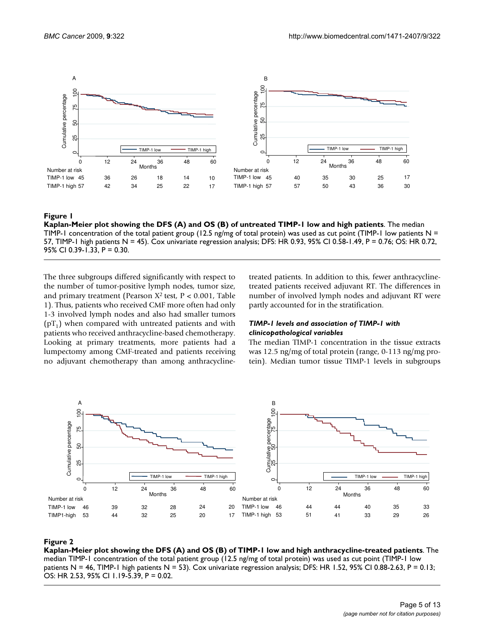

#### Kaplan-Meier plot showing the DFS (A) and OS **Figure 1** (B) of untreated TIMP-1 low and high patients

**Kaplan-Meier plot showing the DFS (A) and OS (B) of untreated TIMP-1 low and high patients**. The median TIMP-1 concentration of the total patient group (12.5 ng/mg of total protein) was used as cut point (TIMP-1 low patients  $N =$ 57, TIMP-1 high patients N = 45). Cox univariate regression analysis; DFS: HR 0.93, 95% CI 0.58-1.49, P = 0.76; OS: HR 0.72, 95% CI 0.39-1.33, P = 0.30.

The three subgroups differed significantly with respect to the number of tumor-positive lymph nodes, tumor size, and primary treatment (Pearson X2 test, P < 0.001, Table 1). Thus, patients who received CMF more often had only 1-3 involved lymph nodes and also had smaller tumors  $(pT_1)$  when compared with untreated patients and with patients who received anthracycline-based chemotherapy. Looking at primary treatments, more patients had a lumpectomy among CMF-treated and patients receiving no adjuvant chemotherapy than among anthracyclinetreated patients. In addition to this, fewer anthracyclinetreated patients received adjuvant RT. The differences in number of involved lymph nodes and adjuvant RT were partly accounted for in the stratification.

#### *TIMP-1 levels and association of TIMP-1 with clinicopathological variables*

The median TIMP-1 concentration in the tissue extracts was 12.5 ng/mg of total protein (range, 0-113 ng/mg protein). Median tumor tissue TIMP-1 levels in subgroups



#### **Figure 2** Kaplan-Meier plot showing the DFS (A) and OS (B) of Time-1 low and high antique-treated patients and high antique-treated patients and high antique-treated patients and high antique-treated patients and high ant

**Kaplan-Meier plot showing the DFS (A) and OS (B) of TIMP-1 low and high anthracycline-treated patients**. The median TIMP-1 concentration of the total patient group (12.5 ng/mg of total protein) was used as cut point (TIMP-1 low patients N = 46, TIMP-1 high patients N = 53). Cox univariate regression analysis; DFS: HR 1.52, 95% Cl 0.88-2.63, P = 0.13; OS: HR 2.53, 95% CI 1.19-5.39, P = 0.02.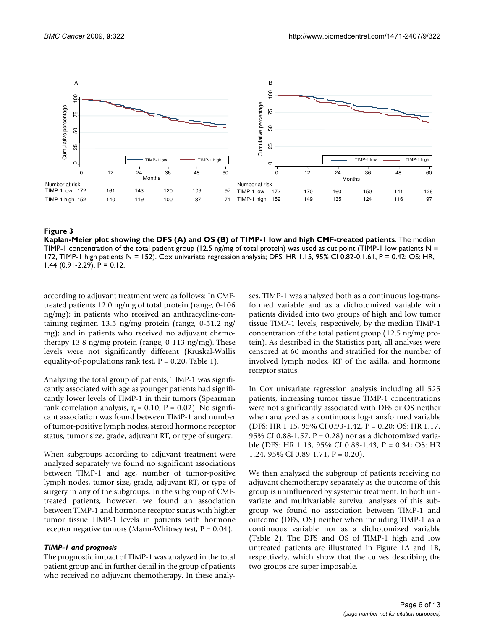

#### Kaplan-Meier plot showing the DFS (A) and OS (B) of TIMP-1 low and high CMF-treated patients **Figure 3**

**Kaplan-Meier plot showing the DFS (A) and OS (B) of TIMP-1 low and high CMF-treated patients**. The median TIMP-1 concentration of the total patient group (12.5 ng/mg of total protein) was used as cut point (TIMP-1 low patients  $N =$ 172, TIMP-1 high patients N = 152). Cox univariate regression analysis; DFS: HR 1.15, 95% CI 0.82-0.1.61, P = 0.42; OS: HR,  $1.44$  (0.91-2.29), P = 0.12.

according to adjuvant treatment were as follows: In CMFtreated patients 12.0 ng/mg of total protein (range, 0-106 ng/mg); in patients who received an anthracycline-containing regimen 13.5 ng/mg protein (range, 0-51.2 ng/ mg); and in patients who received no adjuvant chemotherapy 13.8 ng/mg protein (range, 0-113 ng/mg). These levels were not significantly different (Kruskal-Wallis equality-of-populations rank test,  $P = 0.20$ , Table 1).

Analyzing the total group of patients, TIMP-1 was significantly associated with age as younger patients had significantly lower levels of TIMP-1 in their tumors (Spearman rank correlation analysis,  $r_s = 0.10$ ,  $P = 0.02$ ). No significant association was found between TIMP-1 and number of tumor-positive lymph nodes, steroid hormone receptor status, tumor size, grade, adjuvant RT, or type of surgery.

When subgroups according to adjuvant treatment were analyzed separately we found no significant associations between TIMP-1 and age, number of tumor-positive lymph nodes, tumor size, grade, adjuvant RT, or type of surgery in any of the subgroups. In the subgroup of CMFtreated patients, however, we found an association between TIMP-1 and hormone receptor status with higher tumor tissue TIMP-1 levels in patients with hormone receptor negative tumors (Mann-Whitney test,  $P = 0.04$ ).

### *TIMP-1 and prognosis*

The prognostic impact of TIMP-1 was analyzed in the total patient group and in further detail in the group of patients who received no adjuvant chemotherapy. In these analyses, TIMP-1 was analyzed both as a continuous log-transformed variable and as a dichotomized variable with patients divided into two groups of high and low tumor tissue TIMP-1 levels, respectively, by the median TIMP-1 concentration of the total patient group (12.5 ng/mg protein). As described in the Statistics part, all analyses were censored at 60 months and stratified for the number of involved lymph nodes, RT of the axilla, and hormone receptor status.

In Cox univariate regression analysis including all 525 patients, increasing tumor tissue TIMP-1 concentrations were not significantly associated with DFS or OS neither when analyzed as a continuous log-transformed variable (DFS: HR 1.15, 95% CI 0.93-1.42, P = 0.20; OS: HR 1.17, 95% CI 0.88-1.57,  $P = 0.28$ ) nor as a dichotomized variable (DFS: HR 1.13, 95% CI 0.88-1.43, P = 0.34; OS: HR 1.24, 95% CI 0.89-1.71,  $P = 0.20$ ).

We then analyzed the subgroup of patients receiving no adjuvant chemotherapy separately as the outcome of this group is uninfluenced by systemic treatment. In both univariate and multivariable survival analyses of this subgroup we found no association between TIMP-1 and outcome (DFS, OS) neither when including TIMP-1 as a continuous variable nor as a dichotomized variable (Table 2). The DFS and OS of TIMP-1 high and low untreated patients are illustrated in Figure 1A and 1B, respectively, which show that the curves describing the two groups are super imposable.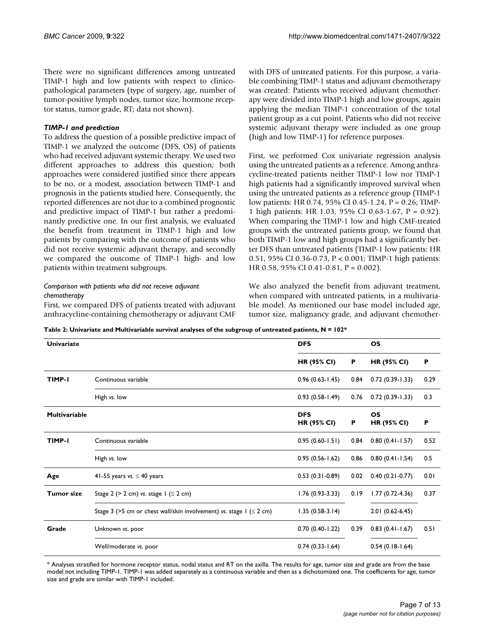There were no significant differences among untreated TIMP-1 high and low patients with respect to clinicopathological parameters (type of surgery, age, number of tumor-positive lymph nodes, tumor size, hormone receptor status, tumor grade, RT; data not shown).

#### *TIMP-1 and prediction*

To address the question of a possible predictive impact of TIMP-1 we analyzed the outcome (DFS, OS) of patients who had received adjuvant systemic therapy. We used two different approaches to address this question; both approaches were considered justified since there appears to be no, or a modest, association between TIMP-1 and prognosis in the patients studied here. Consequently, the reported differences are not due to a combined prognostic and predictive impact of TIMP-1 but rather a predominantly predictive one. In our first analysis, we evaluated the benefit from treatment in TIMP-1 high and low patients by comparing with the outcome of patients who did not receive systemic adjuvant therapy, and secondly we compared the outcome of TIMP-1 high- and low patients within treatment subgroups.

# *Comparison with patients who did not receive adjuvant chemotherapy*

First, we compared DFS of patients treated with adjuvant anthracycline-containing chemotherapy or adjuvant CMF with DFS of untreated patients. For this purpose, a variable combining TIMP-1 status and adjuvant chemotherapy was created: Patients who received adjuvant chemotherapy were divided into TIMP-1 high and low groups, again applying the median TIMP-1 concentration of the total patient group as a cut point. Patients who did not receive systemic adjuvant therapy were included as one group (high and low TIMP-1) for reference purposes.

First, we performed Cox univariate regression analysis using the untreated patients as a reference. Among anthracycline-treated patients neither TIMP-1 low nor TIMP-1 high patients had a significantly improved survival when using the untreated patients as a reference group (TIMP-1 low patients: HR 0.74, 95% CI 0.45-1.24, P = 0.26; TIMP-1 high patients: HR 1.03, 95% CI 0.63-1.67, P = 0.92). When comparing the TIMP-1 low and high CMF-treated groups with the untreated patients group, we found that both TIMP-1 low and high groups had a significantly better DFS than untreated patients (TIMP-1 low patients: HR 0.51, 95% CI 0.36-0.73, P < 0.001; TIMP-1 high patients: HR 0.58, 95% CI 0.41-0.81, P = 0.002).

We also analyzed the benefit from adjuvant treatment, when compared with untreated patients, in a multivariable model. As mentioned our base model included age, tumor size, malignancy grade, and adjuvant chemother-

**Table 2: Univariate and Multivariable survival analyses of the subgroup of untreated patients, N = 102\***

| <b>Univariate</b>    |                                                                             | <b>DFS</b>                       |      | <b>OS</b>                |      |
|----------------------|-----------------------------------------------------------------------------|----------------------------------|------|--------------------------|------|
|                      |                                                                             | <b>HR (95% CI)</b>               | Ρ    | <b>HR (95% CI)</b>       | P    |
| TIMP-I               | Continuous variable                                                         | $0.96(0.63 - 1.45)$              | 0.84 | $0.72(0.39-1.33)$        | 0.29 |
|                      | High vs. low                                                                | $0.93(0.58-1.49)$                | 0.76 | $0.72(0.39 - 1.33)$      | 0.3  |
| <b>Multivariable</b> |                                                                             | <b>DFS</b><br><b>HR (95% CI)</b> | Р    | OS<br><b>HR (95% CI)</b> | P    |
| TIMP-I               | Continuous variable                                                         | $0.95(0.60 - 1.51)$              | 0.84 | $0.80(0.41 - 1.57)$      | 0.52 |
|                      | High vs. low                                                                | $0.95(0.56 - 1.62)$              | 0.86 | $0.80(0.41-1.54)$        | 0.5  |
| Age                  | 41-55 years vs. $\leq$ 40 years                                             | $0.53(0.31-0.89)$                | 0.02 | $0.40(0.21 - 0.77)$      | 0.01 |
| <b>Tumor size</b>    | Stage 2 ( $>$ 2 cm) vs. stage 1 ( $\leq$ 2 cm)                              | $1.76(0.93-3.33)$                | 0.19 | $1.77(0.72 - 4.36)$      | 0.37 |
|                      | Stage 3 (>5 cm or chest wall/skin involvement) vs. stage $1$ ( $\leq$ 2 cm) | $1.35(0.58-3.14)$                |      | $2.01(0.62-6.45)$        |      |
| Grade                | Unknown vs. poor                                                            | $0.70(0.40-1.22)$                | 0.39 | $0.83(0.41-1.67)$        | 0.51 |
|                      | Well/moderate vs. poor                                                      | $0.74(0.33 - 1.64)$              |      | $0.54(0.18-1.64)$        |      |

\* Analyses stratified for hormone receptor status, nodal status and RT on the axilla. The results for age, tumor size and grade are from the base model not including TIMP-1. TIMP-1 was added separately as a continuous variable and then as a dichotomized one. The coefficients for age, tumor size and grade are similar with TIMP-1 included.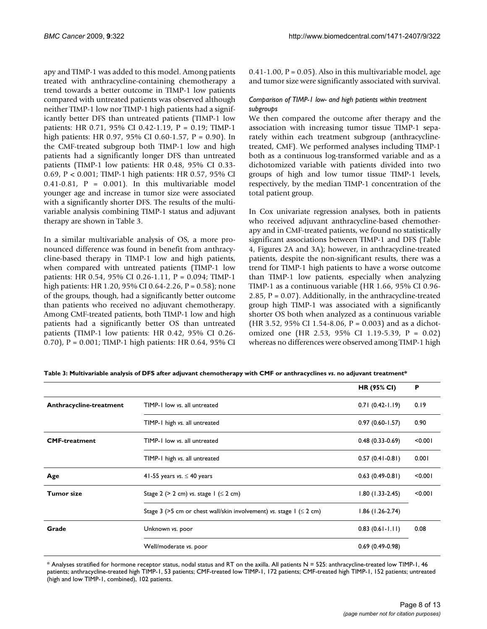apy and TIMP-1 was added to this model. Among patients treated with anthracycline-containing chemotherapy a trend towards a better outcome in TIMP-1 low patients compared with untreated patients was observed although neither TIMP-1 low nor TIMP-1 high patients had a significantly better DFS than untreated patients (TIMP-1 low patients: HR 0.71, 95% CI 0.42-1.19, P = 0.19; TIMP-1 high patients: HR 0.97, 95% CI 0.60-1.57, P = 0.90). In the CMF-treated subgroup both TIMP-1 low and high patients had a significantly longer DFS than untreated patients (TIMP-1 low patients: HR 0.48, 95% CI 0.33- 0.69, P < 0.001; TIMP-1 high patients: HR 0.57, 95% CI  $0.41-0.81$ ,  $P = 0.001$ . In this multivariable model younger age and increase in tumor size were associated with a significantly shorter DFS. The results of the multivariable analysis combining TIMP-1 status and adjuvant therapy are shown in Table 3.

In a similar multivariable analysis of OS, a more pronounced difference was found in benefit from anthracycline-based therapy in TIMP-1 low and high patients, when compared with untreated patients (TIMP-1 low patients: HR 0.54, 95% CI 0.26-1.11, P = 0.094; TIMP-1 high patients: HR 1.20, 95% CI 0.64-2.26, P = 0.58); none of the groups, though, had a significantly better outcome than patients who received no adjuvant chemotherapy. Among CMF-treated patients, both TIMP-1 low and high patients had a significantly better OS than untreated patients (TIMP-1 low patients: HR 0.42, 95% CI 0.26- 0.70), P = 0.001; TIMP-1 high patients: HR 0.64, 95% CI  $0.41-1.00$ ,  $P = 0.05$ ). Also in this multivariable model, age and tumor size were significantly associated with survival.

# *Comparison of TIMP-1 low- and high patients within treatment subgroups*

We then compared the outcome after therapy and the association with increasing tumor tissue TIMP-1 separately within each treatment subgroup (anthracyclinetreated, CMF). We performed analyses including TIMP-1 both as a continuous log-transformed variable and as a dichotomized variable with patients divided into two groups of high and low tumor tissue TIMP-1 levels, respectively, by the median TIMP-1 concentration of the total patient group.

In Cox univariate regression analyses, both in patients who received adjuvant anthracycline-based chemotherapy and in CMF-treated patients, we found no statistically significant associations between TIMP-1 and DFS (Table 4, Figures 2A and 3A); however, in anthracycline-treated patients, despite the non-significant results, there was a trend for TIMP-1 high patients to have a worse outcome than TIMP-1 low patients, especially when analyzing TIMP-1 as a continuous variable (HR 1.66, 95% CI 0.96- 2.85,  $P = 0.07$ ). Additionally, in the anthracycline-treated group high TIMP-1 was associated with a significantly shorter OS both when analyzed as a continuous variable (HR 3.52, 95% CI 1.54-8.06, P = 0.003) and as a dichotomized one (HR 2.53, 95% CI 1.19-5.39, P = 0.02) whereas no differences were observed among TIMP-1 high

**Table 3: Multivariable analysis of DFS after adjuvant chemotherapy with CMF or anthracyclines** *vs***. no adjuvant treatment\***

|                         |                                                                        | <b>HR (95% CI)</b>  | P       |
|-------------------------|------------------------------------------------------------------------|---------------------|---------|
| Anthracycline-treatment | TIMP-1 low vs. all untreated                                           | $0.71(0.42-1.19)$   | 0.19    |
|                         | TIMP-1 high vs. all untreated                                          | $0.97(0.60 - 1.57)$ | 0.90    |
| <b>CMF-treatment</b>    | TIMP-1 low vs. all untreated                                           | $0.48(0.33-0.69)$   | < 0.001 |
|                         | TIMP-1 high vs. all untreated                                          | $0.57(0.41-0.81)$   | 0.001   |
| Age                     | 41-55 years vs. $\leq$ 40 years                                        | $0.63(0.49-0.81)$   | < 0.001 |
| <b>Tumor size</b>       | Stage 2 ( $>$ 2 cm) vs. stage 1 ( $\leq$ 2 cm)                         | $1.80(1.33-2.45)$   | < 0.001 |
|                         | Stage 3 (>5 cm or chest wall/skin involvement) vs. stage $1 \le 2$ cm) | $1.86$ (1.26-2.74)  |         |
| Grade                   | Unknown vs. poor                                                       | $0.83(0.61-1.11)$   | 0.08    |
|                         | Well/moderate vs. poor                                                 | $0.69(0.49-0.98)$   |         |

\* Analyses stratified for hormone receptor status, nodal status and RT on the axilla. All patients N = 525: anthracycline-treated low TIMP-1, 46 patients; anthracycline-treated high TIMP-1, 53 patients; CMF-treated low TIMP-1, 172 patients; CMF-treated high TIMP-1, 152 patients; untreated (high and low TIMP-1, combined), 102 patients.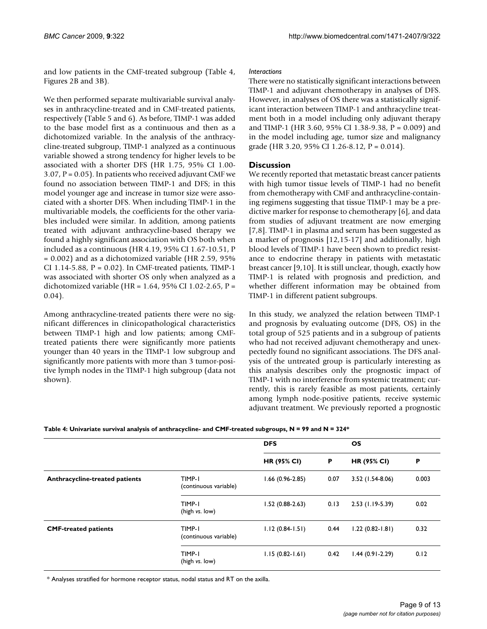and low patients in the CMF-treated subgroup (Table 4, Figures 2B and 3B).

We then performed separate multivariable survival analyses in anthracycline-treated and in CMF-treated patients, respectively (Table 5 and 6). As before, TIMP-1 was added to the base model first as a continuous and then as a dichotomized variable. In the analysis of the anthracycline-treated subgroup, TIMP-1 analyzed as a continuous variable showed a strong tendency for higher levels to be associated with a shorter DFS (HR 1.75, 95% CI 1.00- 3.07,  $P = 0.05$ ). In patients who received adjuvant CMF we found no association between TIMP-1 and DFS; in this model younger age and increase in tumor size were associated with a shorter DFS. When including TIMP-1 in the multivariable models, the coefficients for the other variables included were similar. In addition, among patients treated with adjuvant anthracycline-based therapy we found a highly significant association with OS both when included as a continuous (HR 4.19, 95% CI 1.67-10.51, P = 0.002) and as a dichotomized variable (HR 2.59, 95% CI 1.14-5.88,  $P = 0.02$ ). In CMF-treated patients, TIMP-1 was associated with shorter OS only when analyzed as a dichotomized variable (HR =  $1.64$ , 95% CI 1.02-2.65, P = 0.04).

Among anthracycline-treated patients there were no significant differences in clinicopathological characteristics between TIMP-1 high and low patients; among CMFtreated patients there were significantly more patients younger than 40 years in the TIMP-1 low subgroup and significantly more patients with more than 3 tumor-positive lymph nodes in the TIMP-1 high subgroup (data not shown).

# *Interactions*

There were no statistically significant interactions between TIMP-1 and adjuvant chemotherapy in analyses of DFS. However, in analyses of OS there was a statistically significant interaction between TIMP-1 and anthracycline treatment both in a model including only adjuvant therapy and TIMP-1 (HR 3.60, 95% CI 1.38-9.38, P = 0.009) and in the model including age, tumor size and malignancy grade (HR 3.20, 95% CI 1.26-8.12,  $P = 0.014$ ).

# **Discussion**

We recently reported that metastatic breast cancer patients with high tumor tissue levels of TIMP-1 had no benefit from chemotherapy with CMF and anthracycline-containing regimens suggesting that tissue TIMP-1 may be a predictive marker for response to chemotherapy [6], and data from studies of adjuvant treatment are now emerging [7,8]. TIMP-1 in plasma and serum has been suggested as a marker of prognosis [12,15-17] and additionally, high blood levels of TIMP-1 have been shown to predict resistance to endocrine therapy in patients with metastatic breast cancer [9,10]. It is still unclear, though, exactly how TIMP-1 is related with prognosis and prediction, and whether different information may be obtained from TIMP-1 in different patient subgroups.

In this study, we analyzed the relation between TIMP-1 and prognosis by evaluating outcome (DFS, OS) in the total group of 525 patients and in a subgroup of patients who had not received adjuvant chemotherapy and unexpectedly found no significant associations. The DFS analysis of the untreated group is particularly interesting as this analysis describes only the prognostic impact of TIMP-1 with no interference from systemic treatment; currently, this is rarely feasible as most patients, certainly among lymph node-positive patients, receive systemic adjuvant treatment. We previously reported a prognostic

|                                       |                                 | <b>DFS</b>          |      | <b>OS</b>           |       |  |
|---------------------------------------|---------------------------------|---------------------|------|---------------------|-------|--|
|                                       |                                 | <b>HR (95% CI)</b>  | P    | <b>HR (95% CI)</b>  | Р     |  |
| <b>Anthracycline-treated patients</b> | TIMP-1<br>(continuous variable) | $1.66(0.96-2.85)$   | 0.07 | 3.52 (1.54-8.06)    | 0.003 |  |
|                                       | TIMP-1<br>(high vs. low)        | $1.52(0.88-2.63)$   | 0.13 | 2.53 (1.19-5.39)    | 0.02  |  |
| <b>CMF-treated patients</b>           | TIMP-1<br>(continuous variable) | $1.12(0.84-1.51)$   | 0.44 | $1.22(0.82 - 1.81)$ | 0.32  |  |
|                                       | TIMP-1<br>(high vs. low)        | $1.15(0.82 - 1.61)$ | 0.42 | $1.44(0.91-2.29)$   | 0.12  |  |

\* Analyses stratified for hormone receptor status, nodal status and RT on the axilla.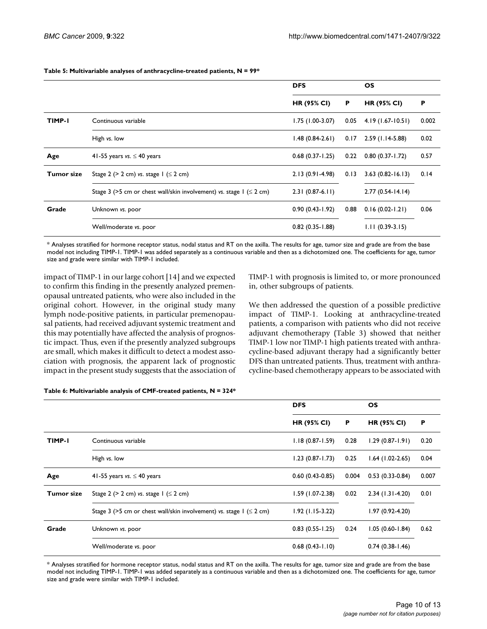|               |                                                                           | <b>DFS</b>          |      | <b>OS</b>            |       |
|---------------|---------------------------------------------------------------------------|---------------------|------|----------------------|-------|
|               |                                                                           | <b>HR (95% CI)</b>  | P    | <b>HR (95% CI)</b>   | P     |
| <b>TIMP-I</b> | Continuous variable                                                       | $1.75$ (1.00-3.07)  | 0.05 | $4.19(1.67-10.51)$   | 0.002 |
|               | High vs. low                                                              | $1.48(0.84-2.61)$   | 0.17 | 2.59 (1.14-5.88)     | 0.02  |
| Age           | 41-55 years vs. $\leq$ 40 years                                           | $0.68(0.37-1.25)$   | 0.22 | $0.80(0.37 - 1.72)$  | 0.57  |
| Tumor size    | Stage 2 ( $>$ 2 cm) vs. stage 1 ( $\leq$ 2 cm)                            | $2.13(0.91 - 4.98)$ | 0.13 | $3.63(0.82 - 16.13)$ | 0.14  |
|               | Stage 3 (>5 cm or chest wall/skin involvement) vs. stage 1 ( $\leq$ 2 cm) | $2.31(0.87-6.11)$   |      | $2.77(0.54-14.14)$   |       |
| Grade         | Unknown vs. poor                                                          | $0.90(0.43 - 1.92)$ | 0.88 | $0.16(0.02-1.21)$    | 0.06  |
|               | Well/moderate vs. poor                                                    | $0.82(0.35 - 1.88)$ |      | $1.11(0.39-3.15)$    |       |

#### **Table 5: Multivariable analyses of anthracycline-treated patients, N = 99\***

\* Analyses stratified for hormone receptor status, nodal status and RT on the axilla. The results for age, tumor size and grade are from the base model not including TIMP-1. TIMP-1 was added separately as a continuous variable and then as a dichotomized one. The coefficients for age, tumor size and grade were similar with TIMP-1 included.

impact of TIMP-1 in our large cohort [14] and we expected to confirm this finding in the presently analyzed premenopausal untreated patients, who were also included in the original cohort. However, in the original study many lymph node-positive patients, in particular premenopausal patients, had received adjuvant systemic treatment and this may potentially have affected the analysis of prognostic impact. Thus, even if the presently analyzed subgroups are small, which makes it difficult to detect a modest association with prognosis, the apparent lack of prognostic impact in the present study suggests that the association of TIMP-1 with prognosis is limited to, or more pronounced in, other subgroups of patients.

We then addressed the question of a possible predictive impact of TIMP-1. Looking at anthracycline-treated patients, a comparison with patients who did not receive adjuvant chemotherapy (Table 3) showed that neither TIMP-1 low nor TIMP-1 high patients treated with anthracycline-based adjuvant therapy had a significantly better DFS than untreated patients. Thus, treatment with anthracycline-based chemotherapy appears to be associated with

#### **Table 6: Multivariable analysis of CMF-treated patients, N = 324\***

|            |                                                                           | <b>DFS</b>          |       | <b>OS</b>           |       |
|------------|---------------------------------------------------------------------------|---------------------|-------|---------------------|-------|
|            |                                                                           | <b>HR (95% CI)</b>  | P     | <b>HR (95% CI)</b>  | P     |
| TIMP-I     | Continuous variable                                                       | $1.18(0.87 - 1.59)$ | 0.28  | $1.29(0.87-1.91)$   | 0.20  |
|            | High vs. low                                                              | $1.23(0.87 - 1.73)$ | 0.25  | $1.64$ (1.02-2.65)  | 0.04  |
| Age        | 41-55 years vs. $\leq$ 40 years                                           | $0.60(0.43-0.85)$   | 0.004 | $0.53(0.33-0.84)$   | 0.007 |
| Tumor size | Stage 2 ( $>$ 2 cm) vs. stage 1 ( $\leq$ 2 cm)                            | $1.59(1.07-2.38)$   | 0.02  | $2.34$ (1.31-4.20)  | 0.01  |
|            | Stage 3 (>5 cm or chest wall/skin involvement) vs. stage 1 ( $\leq$ 2 cm) | $1.92$ (1.15-3.22)  |       | $1.97(0.92 - 4.20)$ |       |
| Grade      | Unknown vs. poor                                                          | $0.83(0.55 - 1.25)$ | 0.24  | $1.05(0.60 - 1.84)$ | 0.62  |
|            | Well/moderate vs. poor                                                    | $0.68(0.43-1.10)$   |       | $0.74(0.38-1.46)$   |       |

\* Analyses stratified for hormone receptor status, nodal status and RT on the axilla. The results for age, tumor size and grade are from the base model not including TIMP-1. TIMP-1 was added separately as a continuous variable and then as a dichotomized one. The coefficients for age, tumor size and grade were similar with TIMP-1 included.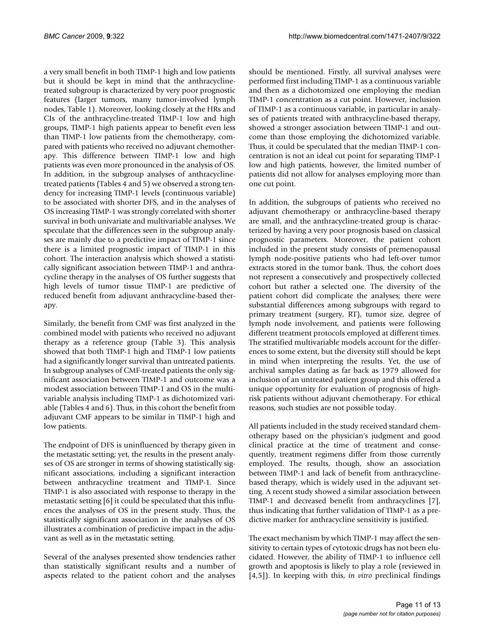a very small benefit in both TIMP-1 high and low patients but it should be kept in mind that the anthracyclinetreated subgroup is characterized by very poor prognostic features (larger tumors, many tumor-involved lymph nodes, Table 1). Moreover, looking closely at the HRs and CIs of the anthracycline-treated TIMP-1 low and high groups, TIMP-1 high patients appear to benefit even less than TIMP-1 low patients from the chemotherapy, compared with patients who received no adjuvant chemotherapy. This difference between TIMP-1 low and high patients was even more pronounced in the analysis of OS. In addition, in the subgroup analyses of anthracyclinetreated patients (Tables 4 and 5) we observed a strong tendency for increasing TIMP-1 levels (continuous variable) to be associated with shorter DFS, and in the analyses of OS increasing TIMP-1 was strongly correlated with shorter survival in both univariate and multivariable analyses. We speculate that the differences seen in the subgroup analyses are mainly due to a predictive impact of TIMP-1 since there is a limited prognostic impact of TIMP-1 in this cohort. The interaction analysis which showed a statistically significant association between TIMP-1 and anthracycline therapy in the analyses of OS further suggests that high levels of tumor tissue TIMP-1 are predictive of reduced benefit from adjuvant anthracycline-based therapy.

Similarly, the benefit from CMF was first analyzed in the combined model with patients who received no adjuvant therapy as a reference group (Table 3). This analysis showed that both TIMP-1 high and TIMP-1 low patients had a significantly longer survival than untreated patients. In subgroup analyses of CMF-treated patients the only significant association between TIMP-1 and outcome was a modest association between TIMP-1 and OS in the multivariable analysis including TIMP-1 as dichotomized variable (Tables 4 and 6). Thus, in this cohort the benefit from adjuvant CMF appears to be similar in TIMP-1 high and low patients.

The endpoint of DFS is uninfluenced by therapy given in the metastatic setting; yet, the results in the present analyses of OS are stronger in terms of showing statistically significant associations, including a significant interaction between anthracycline treatment and TIMP-1. Since TIMP-1 is also associated with response to therapy in the metastatic setting [6] it could be speculated that this influences the analyses of OS in the present study. Thus, the statistically significant association in the analyses of OS illustrates a combination of predictive impact in the adjuvant as well as in the metastatic setting.

Several of the analyses presented show tendencies rather than statistically significant results and a number of aspects related to the patient cohort and the analyses

should be mentioned. Firstly, all survival analyses were performed first including TIMP-1 as a continuous variable and then as a dichotomized one employing the median TIMP-1 concentration as a cut point. However, inclusion of TIMP-1 as a continuous variable, in particular in analyses of patients treated with anthracycline-based therapy, showed a stronger association between TIMP-1 and outcome than those employing the dichotomized variable. Thus, it could be speculated that the median TIMP-1 concentration is not an ideal cut point for separating TIMP-1 low and high patients, however, the limited number of patients did not allow for analyses employing more than one cut point.

In addition, the subgroups of patients who received no adjuvant chemotherapy or anthracycline-based therapy are small, and the anthracycline-treated group is characterized by having a very poor prognosis based on classical prognostic parameters. Moreover, the patient cohort included in the present study consists of premenopausal lymph node-positive patients who had left-over tumor extracts stored in the tumor bank. Thus, the cohort does not represent a consecutively and prospectively collected cohort but rather a selected one. The diversity of the patient cohort did complicate the analyses; there were substantial differences among subgroups with regard to primary treatment (surgery, RT), tumor size, degree of lymph node involvement, and patients were following different treatment protocols employed at different times. The stratified multivariable models account for the differences to some extent, but the diversity still should be kept in mind when interpreting the results. Yet, the use of archival samples dating as far back as 1979 allowed for inclusion of an untreated patient group and this offered a unique opportunity for evaluation of prognosis of highrisk patients without adjuvant chemotherapy. For ethical reasons, such studies are not possible today.

All patients included in the study received standard chemotherapy based on the physician's judgment and good clinical practice at the time of treatment and consequently, treatment regimens differ from those currently employed. The results, though, show an association between TIMP-1 and lack of benefit from anthracyclinebased therapy, which is widely used in the adjuvant setting. A recent study showed a similar association between TIMP-1 and decreased benefit from anthracyclines [7], thus indicating that further validation of TIMP-1 as a predictive marker for anthracycline sensitivity is justified.

The exact mechanism by which TIMP-1 may affect the sensitivity to certain types of cytotoxic drugs has not been elucidated. However, the ability of TIMP-1 to influence cell growth and apoptosis is likely to play a role (reviewed in [4,5]). In keeping with this, *in vitro* preclinical findings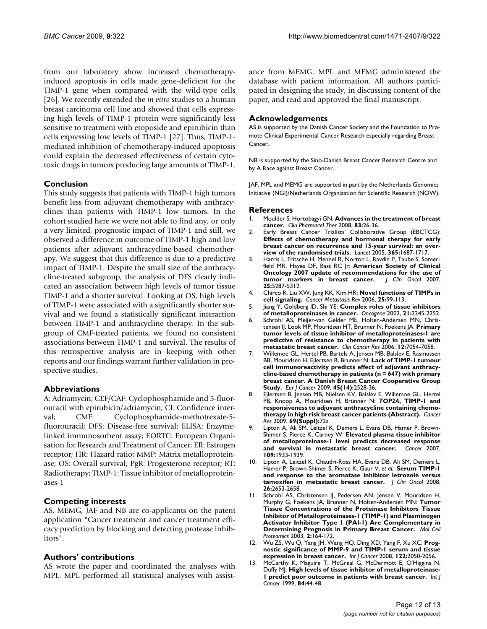from our laboratory show increased chemotherapyinduced apoptosis in cells made gene-deficient for the TIMP-1 gene when compared with the wild-type cells [26]. We recently extended the *in vitro* studies to a human breast carcinoma cell line and showed that cells expressing high levels of TIMP-1 protein were significantly less sensitive to treatment with etoposide and epirubicin than cells expressing low levels of TIMP-1 [27]. Thus, TIMP-1 mediated inhibition of chemotherapy-induced apoptosis could explain the decreased effectiveness of certain cytotoxic drugs in tumors producing large amounts of TIMP-1.

# **Conclusion**

This study suggests that patients with TIMP-1 high tumors benefit less from adjuvant chemotherapy with anthracyclines than patients with TIMP-1 low tumors. In the cohort studied here we were not able to find any, or only a very limited, prognostic impact of TIMP-1 and still, we observed a difference in outcome of TIMP-1 high and low patients after adjuvant anthracycline-based chemotherapy. We suggest that this difference is due to a predictive impact of TIMP-1. Despite the small size of the anthracycline-treated subgroup, the analysis of DFS clearly indicated an association between high levels of tumor tissue TIMP-1 and a shorter survival. Looking at OS, high levels of TIMP-1 were associated with a significantly shorter survival and we found a statistically significant interaction between TIMP-1 and anthracycline therapy. In the subgroup of CMF-treated patients, we found no consistent associations between TIMP-1 and survival. The results of this retrospective analysis are in keeping with other reports and our findings warrant further validation in prospective studies.

# **Abbreviations**

A: Adriamycin; CEF/CAF: Cyclophosphamide and 5-fluorouracil with epirubicin/adriamycin; CI: Confidence interval; CMF: Cyclophosphamide-methotrexate-5 fluorouracil; DFS: Disease-free survival; ELISA: Enzymelinked immunosorbent assay; EORTC: European Organisation for Research and Treatment of Cancer; ER: Estrogen receptor; HR: Hazard ratio; MMP: Matrix metalloproteinase; OS: Overall survival; PgR: Progesterone receptor; RT: Radiotherapy; TIMP-1: Tissue inhibitor of metalloproteinases-1

#### **Competing interests**

AS, MEMG, JAF and NB are co-applicants on the patent application "Cancer treatment and cancer treatment efficacy prediction by blocking and detecting protease inhibitors".

# **Authors' contributions**

AS wrote the paper and coordinated the analyses with MPL. MPL performed all statistical analyses with assistance from MEMG. MPL and MEMG administered the database with patient information. All authors participated in designing the study, in discussing content of the paper, and read and approved the final manuscript.

### **Acknowledgements**

AS is supported by the Danish Cancer Society and the Foundation to Promote Clinical Experimental Cancer Research especially regarding Breast Cancer.

NB is supported by the Sino-Danish Breast Cancer Research Centre and by A Race against Breast Cancer.

JAF, MPL and MEMG are supported in part by the Netherlands Genomics Initiative (NGI)/Netherlands Organization for Scientific Research (NOW).

#### **References**

- 1. Moulder S, Hortobagyi GN: **[Advances in the treatment of breast](http://www.ncbi.nlm.nih.gov/entrez/query.fcgi?cmd=Retrieve&db=PubMed&dopt=Abstract&list_uids=18091763) [cancer.](http://www.ncbi.nlm.nih.gov/entrez/query.fcgi?cmd=Retrieve&db=PubMed&dopt=Abstract&list_uids=18091763)** *Clin Pharmacol Ther* 2008, **83:**26-36.
- 2. Early Breast Cancer Trialists' Collaborative Group (EBCTCG): **[Effects of chemotherapy and hormonal therapy for early](http://www.ncbi.nlm.nih.gov/entrez/query.fcgi?cmd=Retrieve&db=PubMed&dopt=Abstract&list_uids=15894097) breast cancer on recurrence and 15-year survival: an over[view of the randomised trials.](http://www.ncbi.nlm.nih.gov/entrez/query.fcgi?cmd=Retrieve&db=PubMed&dopt=Abstract&list_uids=15894097)** *Lancet* 2005, **365:**1687-1717.
- 3. Harris L, Fritsche H, Mennel R, Norton L, Ravdin P, Taube S, Somerfield MR, Hayes DF, Bast RC Jr: **[American Society of Clinical](http://www.ncbi.nlm.nih.gov/entrez/query.fcgi?cmd=Retrieve&db=PubMed&dopt=Abstract&list_uids=17954709) [Oncology 2007 update of recommendations for the use of](http://www.ncbi.nlm.nih.gov/entrez/query.fcgi?cmd=Retrieve&db=PubMed&dopt=Abstract&list_uids=17954709) [tumor markers in breast cancer.](http://www.ncbi.nlm.nih.gov/entrez/query.fcgi?cmd=Retrieve&db=PubMed&dopt=Abstract&list_uids=17954709)** *J Clin Oncol* 2007, **25:**5287-5312.
- 4. Chirco R, Liu XW, Jung KK, Kim HR: **[Novel functions of TIMPs in](http://www.ncbi.nlm.nih.gov/entrez/query.fcgi?cmd=Retrieve&db=PubMed&dopt=Abstract&list_uids=16680576) [cell signaling.](http://www.ncbi.nlm.nih.gov/entrez/query.fcgi?cmd=Retrieve&db=PubMed&dopt=Abstract&list_uids=16680576)** *Cancer Metastasis Rev* 2006, **25:**99-113.
- 5. Jiang Y, Goldberg ID, Shi YE: **[Complex roles of tissue inhibitors](http://www.ncbi.nlm.nih.gov/entrez/query.fcgi?cmd=Retrieve&db=PubMed&dopt=Abstract&list_uids=11948407) [of metalloproteinases in cancer.](http://www.ncbi.nlm.nih.gov/entrez/query.fcgi?cmd=Retrieve&db=PubMed&dopt=Abstract&list_uids=11948407)** *Oncogene* 2002, **21:**2245-2252.
- 6. Schrohl AS, Meijer-van Gelder ME, Holten-Andersen MN, Christensen IJ, Look MP, Mouridsen HT, Brunner N, Foekens JA: **[Primary](http://www.ncbi.nlm.nih.gov/entrez/query.fcgi?cmd=Retrieve&db=PubMed&dopt=Abstract&list_uids=17114213) [tumor levels of tissue inhibitor of metalloproteinases-1 are](http://www.ncbi.nlm.nih.gov/entrez/query.fcgi?cmd=Retrieve&db=PubMed&dopt=Abstract&list_uids=17114213) predictive of resistance to chemotherapy in patients with [metastatic breast cancer.](http://www.ncbi.nlm.nih.gov/entrez/query.fcgi?cmd=Retrieve&db=PubMed&dopt=Abstract&list_uids=17114213)** *Clin Cancer Res* 2006, **12:**7054-7058.
- 7. Willemoe GL, Hertel PB, Bartels A, Jensen MB, Balslev E, Rasmussen BB, Mouridsen H, Ejlertsen B, Brunner N: **[Lack of TIMP-1 tumour](http://www.ncbi.nlm.nih.gov/entrez/query.fcgi?cmd=Retrieve&db=PubMed&dopt=Abstract&list_uids=19535243) cell immunoreactivity predicts effect of adjuvant anthracy[cline-based chemotherapy in patients \(n = 647\) with primary](http://www.ncbi.nlm.nih.gov/entrez/query.fcgi?cmd=Retrieve&db=PubMed&dopt=Abstract&list_uids=19535243) breast cancer. A Danish Breast Cancer Cooperative Group [Study.](http://www.ncbi.nlm.nih.gov/entrez/query.fcgi?cmd=Retrieve&db=PubMed&dopt=Abstract&list_uids=19535243)** *Eur J Cancer* 2009, **45(14):**2528-36.
- 8. Ejlertsen B, Jensen MB, Nielsen KV, Balslev E, Willemoe GL, Hertel PB, Knoop A, Mouridsen H, Brünner N: *TOP2A***, TIMP-1 and responsiveness to adjuvant anthracycline containing chemotherapy in high risk breast cancer patients (Abstract).** *Cancer Res* 2009, **69(Suppl):**72s.
- 9. Lipton A, Ali SM, Leitzel K, Demers L, Evans DB, Hamer P, Brown-Shimer S, Pierce K, Carney W: **[Elevated plasma tissue inhibitor](http://www.ncbi.nlm.nih.gov/entrez/query.fcgi?cmd=Retrieve&db=PubMed&dopt=Abstract&list_uids=17407159) [of metalloproteinase-1 level predicts decreased response](http://www.ncbi.nlm.nih.gov/entrez/query.fcgi?cmd=Retrieve&db=PubMed&dopt=Abstract&list_uids=17407159)** [and survival in metastatic breast cancer.](http://www.ncbi.nlm.nih.gov/entrez/query.fcgi?cmd=Retrieve&db=PubMed&dopt=Abstract&list_uids=17407159) **109:**1933-1939.
- 10. Lipton A, Leitzel K, Chaudri-Ross HA, Evans DB, Ali SM, Demers L, Hamer P, Brown-Shimer S, Pierce K, Gaur V, *et al.*: **[Serum TIMP-1](http://www.ncbi.nlm.nih.gov/entrez/query.fcgi?cmd=Retrieve&db=PubMed&dopt=Abstract&list_uids=18443351) [and response to the aromatase inhibitor letrozole versus](http://www.ncbi.nlm.nih.gov/entrez/query.fcgi?cmd=Retrieve&db=PubMed&dopt=Abstract&list_uids=18443351) [tamoxifen in metastatic breast cancer.](http://www.ncbi.nlm.nih.gov/entrez/query.fcgi?cmd=Retrieve&db=PubMed&dopt=Abstract&list_uids=18443351)** *J Clin Oncol* 2008, **26:**2653-2658.
- 11. Schrohl AS, Christensen IJ, Pedersen AN, Jensen V, Mouridsen H, Murphy G, Foekens JA, Brunner N, Holten-Andersen MN: **[Tumor](http://www.ncbi.nlm.nih.gov/entrez/query.fcgi?cmd=Retrieve&db=PubMed&dopt=Abstract&list_uids=12672830) [Tissue Concentrations of the Proteinase Inhibitors Tissue](http://www.ncbi.nlm.nih.gov/entrez/query.fcgi?cmd=Retrieve&db=PubMed&dopt=Abstract&list_uids=12672830) Inhibitor of Metalloproteinases-1 (TIMP-1) and Plasminogen Activator Inhibitor Type 1 (PAI-1) Are Complementary in [Determining Prognosis in Primary Breast Cancer.](http://www.ncbi.nlm.nih.gov/entrez/query.fcgi?cmd=Retrieve&db=PubMed&dopt=Abstract&list_uids=12672830)** *Mol Cell Proteomics* 2003, **2:**164-172.
- 12. Wu ZS, Wu Q, Yang JH, Wang HQ, Ding XD, Yang F, Xu XC: **[Prog](http://www.ncbi.nlm.nih.gov/entrez/query.fcgi?cmd=Retrieve&db=PubMed&dopt=Abstract&list_uids=18172859)[nostic significance of MMP-9 and TIMP-1 serum and tissue](http://www.ncbi.nlm.nih.gov/entrez/query.fcgi?cmd=Retrieve&db=PubMed&dopt=Abstract&list_uids=18172859) [expression in breast cancer.](http://www.ncbi.nlm.nih.gov/entrez/query.fcgi?cmd=Retrieve&db=PubMed&dopt=Abstract&list_uids=18172859)** *Int J Cancer* 2008, **122:**2050-2056.
- 13. McCarthy K, Maguire T, McGreal G, McDermott E, O'Higgins N, Duffy MJ: **[High levels of tissue inhibitor of metalloproteinase-](http://www.ncbi.nlm.nih.gov/entrez/query.fcgi?cmd=Retrieve&db=PubMed&dopt=Abstract&list_uids=9988231)[1 predict poor outcome in patients with breast cancer.](http://www.ncbi.nlm.nih.gov/entrez/query.fcgi?cmd=Retrieve&db=PubMed&dopt=Abstract&list_uids=9988231)** *Int J Cancer* 1999, **84:**44-48.